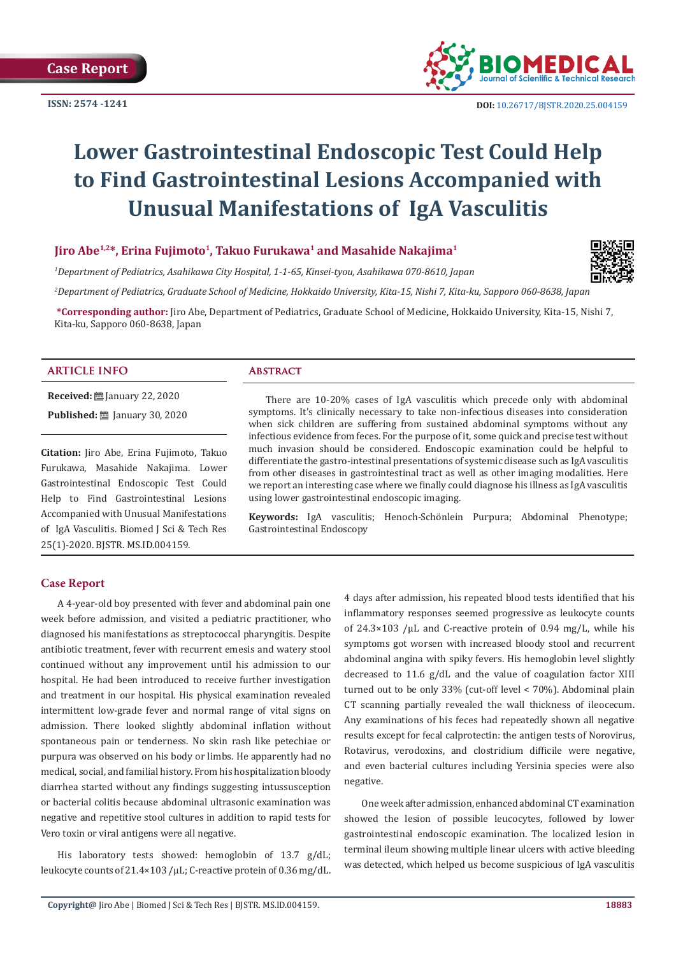**ISSN: 2574 -1241**



# **Lower Gastrointestinal Endoscopic Test Could Help to Find Gastrointestinal Lesions Accompanied with Unusual Manifestations of IgA Vasculitis**

# **Jiro Abe1,2\*, Erina Fujimoto1, Takuo Furukawa1 and Masahide Nakajima1**

*1 Department of Pediatrics, Asahikawa City Hospital, 1-1-65, Kinsei-tyou, Asahikawa 070-8610, Japan* 

*2 Department of Pediatrics, Graduate School of Medicine, Hokkaido University, Kita-15, Nishi 7, Kita-ku, Sapporo 060-8638, Japan*

**\*Corresponding author:** Jiro Abe, Department of Pediatrics, Graduate School of Medicine, Hokkaido University, Kita-15, Nishi 7, Kita-ku, Sapporo 060-8638, Japan

#### **ARTICLE INFO Abstract**

**Received:** January 22, 2020 **Published:** <u>□</u> January 30, 2020

**Citation:** Jiro Abe, Erina Fujimoto, Takuo Furukawa, Masahide Nakajima. Lower Gastrointestinal Endoscopic Test Could Help to Find Gastrointestinal Lesions Accompanied with Unusual Manifestations of IgA Vasculitis. Biomed J Sci & Tech Res 25(1)-2020. BJSTR. MS.ID.004159.

There are 10-20% cases of IgA vasculitis which precede only with abdominal symptoms. It's clinically necessary to take non-infectious diseases into consideration when sick children are suffering from sustained abdominal symptoms without any infectious evidence from feces. For the purpose of it, some quick and precise test without much invasion should be considered. Endoscopic examination could be helpful to differentiate the gastro-intestinal presentations of systemic disease such as IgA vasculitis from other diseases in gastrointestinal tract as well as other imaging modalities. Here we report an interesting case where we finally could diagnose his illness as IgA vasculitis using lower gastrointestinal endoscopic imaging.

**Keywords:** IgA vasculitis; Henoch-Schönlein Purpura; Abdominal Phenotype; Gastrointestinal Endoscopy

### **Case Report**

A 4-year-old boy presented with fever and abdominal pain one week before admission, and visited a pediatric practitioner, who diagnosed his manifestations as streptococcal pharyngitis. Despite antibiotic treatment, fever with recurrent emesis and watery stool continued without any improvement until his admission to our hospital. He had been introduced to receive further investigation and treatment in our hospital. His physical examination revealed intermittent low-grade fever and normal range of vital signs on admission. There looked slightly abdominal inflation without spontaneous pain or tenderness. No skin rash like petechiae or purpura was observed on his body or limbs. He apparently had no medical, social, and familial history. From his hospitalization bloody diarrhea started without any findings suggesting intussusception or bacterial colitis because abdominal ultrasonic examination was negative and repetitive stool cultures in addition to rapid tests for Vero toxin or viral antigens were all negative.

His laboratory tests showed: hemoglobin of 13.7 g/dL; leukocyte counts of 21.4×103 /μL; C-reactive protein of 0.36 mg/dL. 4 days after admission, his repeated blood tests identified that his inflammatory responses seemed progressive as leukocyte counts of 24.3×103 /μL and C-reactive protein of 0.94 mg/L, while his symptoms got worsen with increased bloody stool and recurrent abdominal angina with spiky fevers. His hemoglobin level slightly decreased to 11.6 g/dL and the value of coagulation factor XIII turned out to be only 33% (cut-off level < 70%). Abdominal plain CT scanning partially revealed the wall thickness of ileocecum. Any examinations of his feces had repeatedly shown all negative results except for fecal calprotectin: the antigen tests of Norovirus, Rotavirus, verodoxins, and clostridium difficile were negative, and even bacterial cultures including Yersinia species were also negative.

One week after admission, enhanced abdominal CT examination showed the lesion of possible leucocytes, followed by lower gastrointestinal endoscopic examination. The localized lesion in terminal ileum showing multiple linear ulcers with active bleeding was detected, which helped us become suspicious of IgA vasculitis

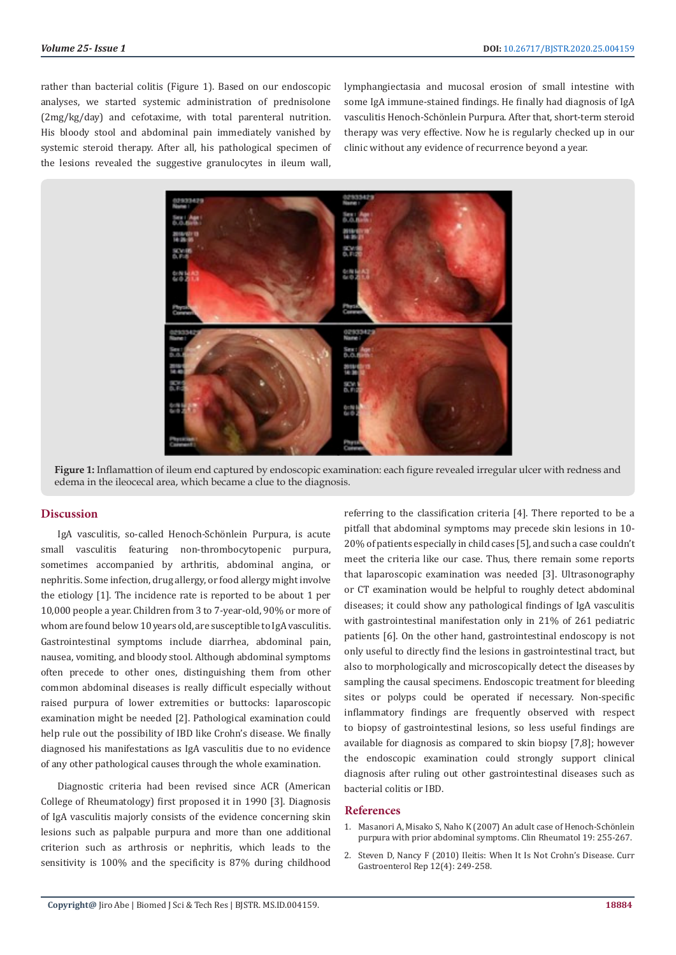rather than bacterial colitis (Figure 1). Based on our endoscopic analyses, we started systemic administration of prednisolone (2mg/kg/day) and cefotaxime, with total parenteral nutrition. His bloody stool and abdominal pain immediately vanished by systemic steroid therapy. After all, his pathological specimen of the lesions revealed the suggestive granulocytes in ileum wall,

lymphangiectasia and mucosal erosion of small intestine with some IgA immune-stained findings. He finally had diagnosis of IgA vasculitis Henoch-Schönlein Purpura. After that, short-term steroid therapy was very effective. Now he is regularly checked up in our clinic without any evidence of recurrence beyond a year.





#### **Discussion**

IgA vasculitis, so-called Henoch-Schönlein Purpura, is acute small vasculitis featuring non-thrombocytopenic purpura, sometimes accompanied by arthritis, abdominal angina, or nephritis. Some infection, drug allergy, or food allergy might involve the etiology [1]. The incidence rate is reported to be about 1 per 10,000 people a year. Children from 3 to 7-year-old, 90% or more of whom are found below 10 years old, are susceptible to IgA vasculitis. Gastrointestinal symptoms include diarrhea, abdominal pain, nausea, vomiting, and bloody stool. Although abdominal symptoms often precede to other ones, distinguishing them from other common abdominal diseases is really difficult especially without raised purpura of lower extremities or buttocks: laparoscopic examination might be needed [2]. Pathological examination could help rule out the possibility of IBD like Crohn's disease. We finally diagnosed his manifestations as IgA vasculitis due to no evidence of any other pathological causes through the whole examination.

Diagnostic criteria had been revised since ACR (American College of Rheumatology) first proposed it in 1990 [3]. Diagnosis of IgA vasculitis majorly consists of the evidence concerning skin lesions such as palpable purpura and more than one additional criterion such as arthrosis or nephritis, which leads to the sensitivity is 100% and the specificity is 87% during childhood

referring to the classification criteria [4]. There reported to be a pitfall that abdominal symptoms may precede skin lesions in 10- 20% of patients especially in child cases [5], and such a case couldn't meet the criteria like our case. Thus, there remain some reports that laparoscopic examination was needed [3]. Ultrasonography or CT examination would be helpful to roughly detect abdominal diseases; it could show any pathological findings of IgA vasculitis with gastrointestinal manifestation only in 21% of 261 pediatric patients [6]. On the other hand, gastrointestinal endoscopy is not only useful to directly find the lesions in gastrointestinal tract, but also to morphologically and microscopically detect the diseases by sampling the causal specimens. Endoscopic treatment for bleeding sites or polyps could be operated if necessary. Non-specific inflammatory findings are frequently observed with respect to biopsy of gastrointestinal lesions, so less useful findings are available for diagnosis as compared to skin biopsy [7,8]; however the endoscopic examination could strongly support clinical diagnosis after ruling out other gastrointestinal diseases such as bacterial colitis or IBD.

#### **References**

- 1. Masanori A, Misako S, Naho K (2007) An adult case of Henoch-Schönlein purpura with prior abdominal symptoms. Clin Rheumatol 19: 255-267.
- 2. [Steven D, Nancy F \(2010\) Ileitis: When It Is Not Crohn's Disease. Curr](https://www.ncbi.nlm.nih.gov/pmc/articles/PMC2914216/) [Gastroenterol Rep 12\(4\): 249-258.](https://www.ncbi.nlm.nih.gov/pmc/articles/PMC2914216/)